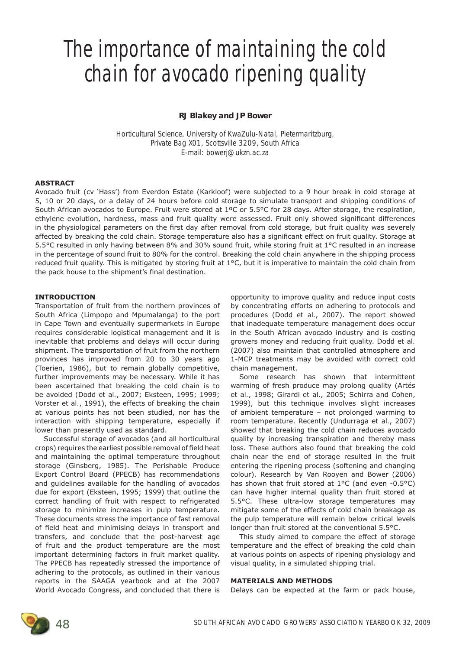# **The importance of maintaining the cold chain for avocado ripening quality**

## **RJ Blakey and JP Bower**

Horticultural Science, University of KwaZulu-Natal, Pietermaritzburg, Private Bag X01, Scottsville 3209, South Africa E-mail: bowerj@ukzn.ac.za

# **ABSTRACT**

Avocado fruit (cv 'Hass') from Everdon Estate (Karkloof) were subjected to a 9 hour break in cold storage at 5, 10 or 20 days, or a delay of 24 hours before cold storage to simulate transport and shipping conditions of South African avocados to Europe. Fruit were stored at 1ºC or 5.5°C for 28 days. After storage, the respiration, ethylene evolution, hardness, mass and fruit quality were assessed. Fruit only showed significant differences in the physiological parameters on the first day after removal from cold storage, but fruit quality was severely affected by breaking the cold chain. Storage temperature also has a significant effect on fruit quality. Storage at 5.5°C resulted in only having between 8% and 30% sound fruit, while storing fruit at 1°C resulted in an increase in the percentage of sound fruit to 80% for the control. Breaking the cold chain anywhere in the shipping process reduced fruit quality. This is mitigated by storing fruit at 1°C, but it is imperative to maintain the cold chain from the pack house to the shipment's final destination.

#### **INTRODUCTION**

Transportation of fruit from the northern provinces of South Africa (Limpopo and Mpumalanga) to the port in Cape Town and eventually supermarkets in Europe requires considerable logistical management and it is inevitable that problems and delays will occur during shipment. The transportation of fruit from the northern provinces has improved from 20 to 30 years ago (Toerien, 1986), but to remain globally competitive, further improvements may be necessary. While it has been ascertained that breaking the cold chain is to be avoided (Dodd *et al.*, 2007; Eksteen, 1995; 1999; Vorster *et al.*, 1991), the effects of breaking the chain at various points has not been studied, nor has the interaction with shipping temperature, especially if lower than presently used as standard.

Successful storage of avocados (and all horticultural crops) requires the earliest possible removal of field heat and maintaining the optimal temperature throughout storage (Ginsberg, 1985). The Perishable Produce Export Control Board (PPECB) has recommendations and guidelines available for the handling of avocados due for export (Eksteen, 1995; 1999) that outline the correct handling of fruit with respect to refrigerated storage to minimize increases in pulp temperature. These documents stress the importance of fast removal of field heat and minimising delays in transport and transfers, and conclude that the post-harvest age of fruit and the product temperature are the most important determining factors in fruit market quality. The PPECB has repeatedly stressed the importance of adhering to the protocols, as outlined in their various reports in the SAAGA yearbook and at the 2007 World Avocado Congress, and concluded that there is

opportunity to improve quality and reduce input costs by concentrating efforts on adhering to protocols and procedures (Dodd *et al.*, 2007). The report showed that inadequate temperature management does occur in the South African avocado industry and is costing growers money and reducing fruit quality. Dodd *et al.* (2007) also maintain that controlled atmosphere and 1-MCP treatments may be avoided with correct cold chain management.

Some research has shown that intermittent warming of fresh produce may prolong quality (Artés *et al.*, 1998; Girardi *et al.*, 2005; Schirra and Cohen, 1999), but this technique involves slight increases of ambient temperature – not prolonged warming to room temperature. Recently (Undurraga *et al.*, 2007) showed that breaking the cold chain reduces avocado quality by increasing transpiration and thereby mass loss. These authors also found that breaking the cold chain near the end of storage resulted in the fruit entering the ripening process (softening and changing colour). Research by Van Rooyen and Bower (2006) has shown that fruit stored at 1°C (and even -0.5°C) can have higher internal quality than fruit stored at 5.5°C. These ultra-low storage temperatures may mitigate some of the effects of cold chain breakage as the pulp temperature will remain below critical levels longer than fruit stored at the conventional 5.5°C.

This study aimed to compare the effect of storage temperature and the effect of breaking the cold chain at various points on aspects of ripening physiology and visual quality, in a simulated shipping trial.

#### **MATERIALS AND METHODS**

Delays can be expected at the farm or pack house,

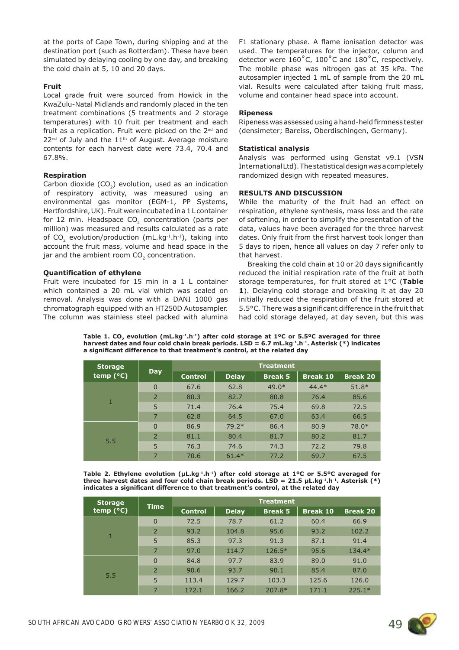at the ports of Cape Town, during shipping and at the destination port (such as Rotterdam). These have been simulated by delaying cooling by one day, and breaking the cold chain at 5, 10 and 20 days.

## **Fruit**

Local grade fruit were sourced from Howick in the KwaZulu-Natal Midlands and randomly placed in the ten treatment combinations (5 treatments and 2 storage temperatures) with 10 fruit per treatment and each fruit as a replication. Fruit were picked on the  $2^{nd}$  and 22<sup>nd</sup> of July and the 11<sup>th</sup> of August. Average moisture contents for each harvest date were 73.4, 70.4 and 67.8%.

## **Respiration**

Carbon dioxide (CO<sub>2</sub>) evolution, used as an indication of respiratory activity, was measured using an environmental gas monitor (EGM-1, PP Systems, Hertfordshire, UK).Fruit were incubated in a 1 L container for 12 min. Headspace  $CO<sub>2</sub>$  concentration (parts per million) was measured and results calculated as a rate of CO<sub>2</sub> evolution/production (mL.kg $^{-1}$ .h $^{-1}$ ), taking into account the fruit mass, volume and head space in the jar and the ambient room  $CO<sub>2</sub>$  concentration.

# **Quantification of ethylene**

Fruit were incubated for 15 min in a 1 L container which contained a 20 mL vial which was sealed on removal. Analysis was done with a DANI 1000 gas chromatograph equipped with an HT250D Autosampler. The column was stainless steel packed with alumina F1 stationary phase. A flame ionisation detector was used. The temperatures for the injector, column and detector were 160˚C, 100˚C and 180˚C, respectively. The mobile phase was nitrogen gas at 35 kPa. The autosampler injected 1 mL of sample from the 20 mL vial. Results were calculated after taking fruit mass, volume and container head space into account.

# **Ripeness**

Ripeness was assessed using a hand-held firmness tester (densimeter; Bareiss, Oberdischingen, Germany).

# **Statistical analysis**

Analysis was performed using Genstat v9.1 (VSN International Ltd).The statistical design was a completely randomized design with repeated measures.

# **RESULTS AND DISCUSSION**

While the maturity of the fruit had an effect on respiration, ethylene synthesis, mass loss and the rate of softening, in order to simplify the presentation of the data, values have been averaged for the three harvest dates. Only fruit from the first harvest took longer than 5 days to ripen, hence all values on day 7 refer only to that harvest.

Breaking the cold chain at 10 or 20 days significantly reduced the initial respiration rate of the fruit at both storage temperatures, for fruit stored at 1°C (**Table 1**). Delaying cold storage and breaking it at day 20 initially reduced the respiration of the fruit stored at 5.5°C. There was a significant difference in the fruit that had cold storage delayed, at day seven, but this was

Table 1. CO<sub>2</sub> evolution (mL.kg<sup>-1</sup>.h<sup>-1</sup>) after cold storage at 1°C or 5.5°C averaged for three **harvest dates and four cold chain break periods. LSD = 6.7 mL.kg-1.h-1. Asterisk (\*) indicates**  a significant difference to that treatment's control, at the related day

| <b>Storage</b><br>temp $(^{\circ}C)$ | <b>Day</b>     | <b>Treatment</b> |              |                |                 |                 |
|--------------------------------------|----------------|------------------|--------------|----------------|-----------------|-----------------|
|                                      |                | <b>Control</b>   | <b>Delay</b> | <b>Break 5</b> | <b>Break 10</b> | <b>Break 20</b> |
| 1                                    | $\Omega$       | 67.6             | 62.8         | $49.0*$        | $44.4*$         | $51.8*$         |
|                                      | $\overline{2}$ | 80.3             | 82.7         | 80.8           | 76.4            | 85.6            |
|                                      | 5              | 71.4             | 76.4         | 75.4           | 69.8            | 72.5            |
|                                      | $\overline{7}$ | 62.8             | 64.5         | 67.0           | 63.4            | 66.5            |
| 5.5                                  | $\Omega$       | 86.9             | $79.2*$      | 86.4           | 80.9            | $78.0*$         |
|                                      | $\overline{2}$ | 81.1             | 80.4         | 81.7           | 80.2            | 81.7            |
|                                      | 5              | 76.3             | 74.6         | 74.3           | 72.2            | 79.8            |
|                                      | $\overline{7}$ | 70.6             | $61.4*$      | 77.2           | 69.7            | 67.5            |

**Table 2. Ethylene evolution (μL.kg-1.h-1) after cold storage at 1ºC or 5.5ºC averaged for three harvest dates and four cold chain break periods. LSD = 21.5 μL.kg-1.h-1. Asterisk (\*)**  indicates a significant difference to that treatment's control, at the related day

| <b>Storage</b><br>temp $(^{\circ}C)$ | <b>Time</b>    | <b>Treatment</b> |              |                |                 |                 |
|--------------------------------------|----------------|------------------|--------------|----------------|-----------------|-----------------|
|                                      |                | <b>Control</b>   | <b>Delay</b> | <b>Break 5</b> | <b>Break 10</b> | <b>Break 20</b> |
| $\mathbf{1}$                         | $\Omega$       | 72.5             | 78.7         | 61.2           | 60.4            | 66.9            |
|                                      | $\overline{2}$ | 93.2             | 104.8        | 95.6           | 93.2            | 102.2           |
|                                      | 5              | 85.3             | 97.3         | 91.3           | 87.1            | 91.4            |
|                                      | $\overline{7}$ | 97.0             | 114.7        | $126.5*$       | 95.6            | $134.4*$        |
| 5.5                                  | $\Omega$       | 84.8             | 97.7         | 83.9           | 89.0            | 91.0            |
|                                      | $2^{\circ}$    | 90.6             | 93.7         | 90.1           | 85.4            | 87.0            |
|                                      | 5              | 113.4            | 129.7        | 103.3          | 125.6           | 126.0           |
|                                      | $\overline{7}$ | 172.1            | 166.2        | $207.8*$       | 171.1           | $225.1*$        |

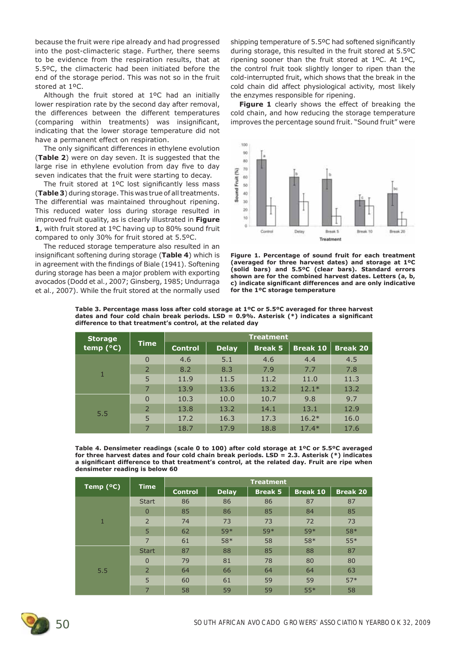because the fruit were ripe already and had progressed into the post-climacteric stage. Further, there seems to be evidence from the respiration results, that at 5.5ºC, the climacteric had been initiated before the end of the storage period. This was not so in the fruit stored at 1ºC.

Although the fruit stored at 1ºC had an initially lower respiration rate by the second day after removal, the differences between the different temperatures (comparing within treatments) was insignificant, indicating that the lower storage temperature did not have a permanent effect on respiration.

The only significant differences in ethylene evolution (**Table 2**) were on day seven. It is suggested that the large rise in ethylene evolution from day five to day seven indicates that the fruit were starting to decay.

The fruit stored at  $1^{\circ}$ C lost significantly less mass (**Table 3**) during storage. This was true of all treatments. The differential was maintained throughout ripening. This reduced water loss during storage resulted in improved fruit quality, as is clearly illustrated in **Figure 1**, with fruit stored at 1ºC having up to 80% sound fruit compared to only 30% for fruit stored at 5.5ºC.

The reduced storage temperature also resulted in an insignificant softening during storage (Table 4) which is in agreement with the findings of Biale (1941). Softening during storage has been a major problem with exporting avocados (Dodd *et al.*, 2007; Ginsberg, 1985; Undurraga *et al.*, 2007). While the fruit stored at the normally used shipping temperature of 5.5°C had softened significantly during storage, this resulted in the fruit stored at 5.5ºC ripening sooner than the fruit stored at 1ºC. At 1ºC, the control fruit took slightly longer to ripen than the cold-interrupted fruit, which shows that the break in the cold chain did affect physiological activity, most likely the enzymes responsible for ripening.

**Figure 1** clearly shows the effect of breaking the cold chain, and how reducing the storage temperature improves the percentage sound fruit. "Sound fruit" were



**Figure 1. Percentage of sound fruit for each treatment (averaged for three harvest dates) and storage at 1ºC (solid bars) and 5.5ºC (clear bars). Standard errors shown are for the combined harvest dates. Letters (a, b,**  c) indicate significant differences and are only indicative **for the 1ºC storage temperature**

| Table 3. Percentage mass loss after cold storage at $1^{\circ}$ C or 5.5 $^{\circ}$ C averaged for three harvest |
|------------------------------------------------------------------------------------------------------------------|
| dates and four cold chain break periods. LSD = 0.9%. Asterisk (*) indicates a significant                        |
| difference to that treatment's control, at the related dav                                                       |

| <b>Storage</b><br>temp $(^{\circ}C)$ | <b>Time</b>    | <b>Treatment</b> |              |                |                 |                 |
|--------------------------------------|----------------|------------------|--------------|----------------|-----------------|-----------------|
|                                      |                | <b>Control</b>   | <b>Delay</b> | <b>Break 5</b> | <b>Break 10</b> | <b>Break 20</b> |
| 1                                    | $\Omega$       | 4.6              | 5.1          | 4.6            | 4.4             | 4.5             |
|                                      | $\overline{2}$ | 8.2              | 8.3          | 7.9            | 7.7             | 7.8             |
|                                      | 5              | 11.9             | 11.5         | 11.2           | 11.0            | 11.3            |
|                                      | 7              | 13.9             | 13.6         | 13.2           | $12.1*$         | 13.2            |
| 5.5                                  | $\Omega$       | 10.3             | 10.0         | 10.7           | 9.8             | 9.7             |
|                                      | $\overline{2}$ | 13.8             | 13.2         | 14.1           | 13.1            | 12.9            |
|                                      | 5              | 17.2             | 16.3         | 17.3           | $16.2*$         | 16.0            |
|                                      | 7              | 18.7             | 17.9         | 18.8           | $17.4*$         | 17.6            |

**Table 4. Densimeter readings (scale 0 to 100) after cold storage at 1ºC or 5.5ºC averaged for three harvest dates and four cold chain break periods. LSD = 2.3. Asterisk (\*) indicates**  a significant difference to that treatment's control, at the related day. Fruit are ripe when **densimeter reading is below 60**

| Temp $(°C)$ | <b>Time</b>    | <b>Treatment</b> |              |                |                 |                 |
|-------------|----------------|------------------|--------------|----------------|-----------------|-----------------|
|             |                | <b>Control</b>   | <b>Delay</b> | <b>Break 5</b> | <b>Break 10</b> | <b>Break 20</b> |
| 1           | <b>Start</b>   | 86               | 86           | 86             | 87              | 87              |
|             | $\Omega$       | 85               | 86           | 85             | 84              | 85              |
|             | 2              | 74               | 73           | 73             | 72              | 73              |
|             | 5              | 62               | 59*          | 59*            | 59*             | 58*             |
|             | $\overline{7}$ | 61               | 58*          | 58             | 58*             | $55*$           |
| 5.5         | <b>Start</b>   | 87               | 88           | 85             | 88              | 87              |
|             | $\overline{0}$ | 79               | 81           | 78             | 80              | 80              |
|             | $\overline{2}$ | 64               | 66           | 64             | 64              | 63              |
|             | 5              | 60               | 61           | 59             | 59              | $57*$           |
|             | 7              | 58               | 59           | 59             | $55*$           | 58              |

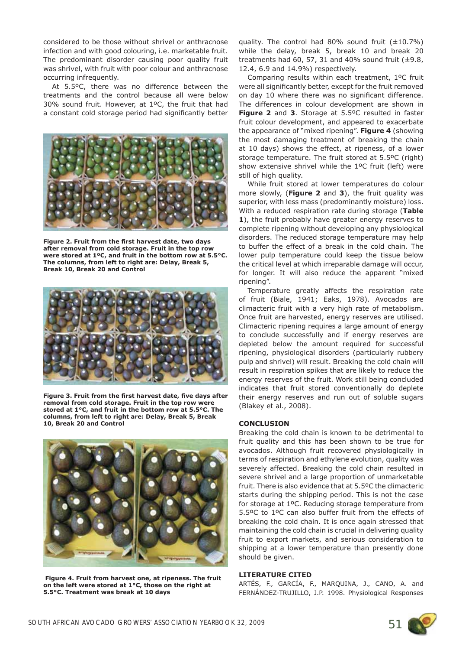considered to be those without shrivel or anthracnose infection and with good colouring, i.e. marketable fruit. The predominant disorder causing poor quality fruit was shrivel, with fruit with poor colour and anthracnose occurring infrequently.

At 5.5ºC, there was no difference between the treatments and the control because all were below 30% sound fruit. However, at 1ºC, the fruit that had a constant cold storage period had significantly better



Figure 2. Fruit from the first harvest date, two days **after removal from cold storage. Fruit in the top row were stored at 1ºC, and fruit in the bottom row at 5.5°C. The columns, from left to right are: Delay, Break 5, Break 10, Break 20 and Control**



Figure 3. Fruit from the first harvest date, five days after **removal from cold storage. Fruit in the top row were stored at 1°C, and fruit in the bottom row at 5.5°C. The columns, from left to right are: Delay, Break 5, Break 10, Break 20 and Control**



 **Figure 4. Fruit from harvest one, at ripeness. The fruit on the left were stored at 1°C, those on the right at 5.5°C. Treatment was break at 10 days**

quality. The control had 80% sound fruit  $(\pm 10.7\%)$ while the delay, break 5, break 10 and break 20 treatments had 60, 57, 31 and 40% sound fruit  $(\pm 9.8,$ 12.4, 6.9 and 14.9%) respectively.

Comparing results within each treatment, 1ºC fruit were all significantly better, except for the fruit removed on day 10 where there was no significant difference. The differences in colour development are shown in **Figure 2** and **3**. Storage at 5.5ºC resulted in faster fruit colour development, and appeared to exacerbate the appearance of "mixed ripening". **Figure 4** (showing the most damaging treatment of breaking the chain at 10 days) shows the effect, at ripeness, of a lower storage temperature. The fruit stored at 5.5ºC (right) show extensive shrivel while the 1ºC fruit (left) were still of high quality.

While fruit stored at lower temperatures do colour more slowly, (**Figure 2** and **3**), the fruit quality was superior, with less mass (predominantly moisture) loss. With a reduced respiration rate during storage (**Table 1**), the fruit probably have greater energy reserves to complete ripening without developing any physiological disorders. The reduced storage temperature may help to buffer the effect of a break in the cold chain. The lower pulp temperature could keep the tissue below the critical level at which irreparable damage will occur, for longer. It will also reduce the apparent "mixed ripening".

Temperature greatly affects the respiration rate of fruit (Biale, 1941; Eaks, 1978). Avocados are climacteric fruit with a very high rate of metabolism. Once fruit are harvested, energy reserves are utilised. Climacteric ripening requires a large amount of energy to conclude successfully and if energy reserves are depleted below the amount required for successful ripening, physiological disorders (particularly rubbery pulp and shrivel) will result. Breaking the cold chain will result in respiration spikes that are likely to reduce the energy reserves of the fruit. Work still being concluded indicates that fruit stored conventionally do deplete their energy reserves and run out of soluble sugars (Blakey *et al.*, 2008).

#### **CONCLUSION**

Breaking the cold chain is known to be detrimental to fruit quality and this has been shown to be true for avocados. Although fruit recovered physiologically in terms of respiration and ethylene evolution, quality was severely affected. Breaking the cold chain resulted in severe shrivel and a large proportion of unmarketable fruit. There is also evidence that at 5.5ºC the climacteric starts during the shipping period. This is not the case for storage at 1ºC. Reducing storage temperature from 5.5ºC to 1ºC can also buffer fruit from the effects of breaking the cold chain. It is once again stressed that maintaining the cold chain is crucial in delivering quality fruit to export markets, and serious consideration to shipping at a lower temperature than presently done should be given.

#### **LITERATURE CITED**

ARTÉS, F., GARCÍA, F., MARQUINA, J., CANO, A. and FERNÁNDEZ-TRUJILLO, J.P. 1998. Physiological Responses